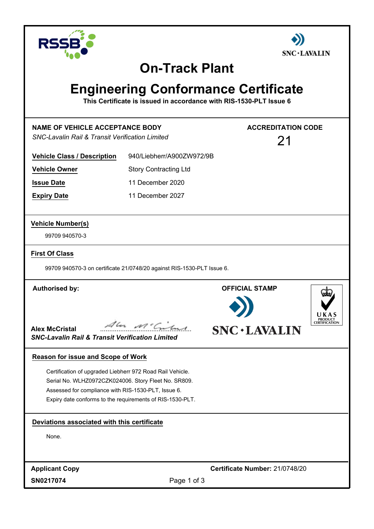



## **On-Track Plant**

# **Engineering Conformance Certificate**

**This Certificate is issued in accordance with RIS-1530-PLT Issue 6**

| <b>NAME OF VEHICLE ACCEPTANCE BODY</b><br><b>SNC-Lavalin Rail &amp; Transit Verification Limited</b>                                                                                                                                  |                              | <b>ACCREDITATION CODE</b><br>21                                                  |
|---------------------------------------------------------------------------------------------------------------------------------------------------------------------------------------------------------------------------------------|------------------------------|----------------------------------------------------------------------------------|
| <b>Vehicle Class / Description</b>                                                                                                                                                                                                    | 940/Liebherr/A900ZW972/9B    |                                                                                  |
| <b>Vehicle Owner</b>                                                                                                                                                                                                                  | <b>Story Contracting Ltd</b> |                                                                                  |
| <b>Issue Date</b>                                                                                                                                                                                                                     | 11 December 2020             |                                                                                  |
| <b>Expiry Date</b>                                                                                                                                                                                                                    | 11 December 2027             |                                                                                  |
| <b>Vehicle Number(s)</b>                                                                                                                                                                                                              |                              |                                                                                  |
| 99709 940570-3                                                                                                                                                                                                                        |                              |                                                                                  |
| <b>First Of Class</b>                                                                                                                                                                                                                 |                              |                                                                                  |
| 99709 940570-3 on certificate 21/0748/20 against RIS-1530-PLT Issue 6.                                                                                                                                                                |                              |                                                                                  |
| <b>Authorised by:</b><br><b>Alex McCristal</b><br><b>SNC-Lavalin Rail &amp; Transit Verification Limited</b>                                                                                                                          | Ale Mc Citus                 | <b>OFFICIAL STAMP</b><br><b>PRODUCT</b><br>CERTIFICATION<br><b>SNC · LAVALIN</b> |
| <b>Reason for issue and Scope of Work</b>                                                                                                                                                                                             |                              |                                                                                  |
| Certification of upgraded Liebherr 972 Road Rail Vehicle.<br>Serial No. WLHZ0972CZK024006. Story Fleet No. SR809.<br>Assessed for compliance with RIS-1530-PLT, Issue 6.<br>Expiry date conforms to the requirements of RIS-1530-PLT. |                              |                                                                                  |
| Deviations associated with this certificate                                                                                                                                                                                           |                              |                                                                                  |
| None.                                                                                                                                                                                                                                 |                              |                                                                                  |
| <b>Applicant Copy</b>                                                                                                                                                                                                                 |                              | Certificate Number: 21/0748/20                                                   |
| SN0217074                                                                                                                                                                                                                             | Page 1 of 3                  |                                                                                  |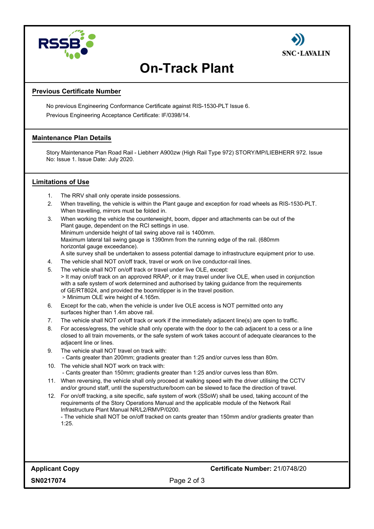



# **On-Track Plant**

## **Previous Certificate Number**

No previous Engineering Conformance Certificate against RIS-1530-PLT Issue 6. Previous Engineering Acceptance Certificate: IF/0398/14.

### **Maintenance Plan Details**

Story Maintenance Plan Road Rail - Liebherr A900zw (High Rail Type 972) STORY/MP/LIEBHERR 972. Issue No: Issue 1. Issue Date: July 2020.

### **Limitations of Use**

- 1. The RRV shall only operate inside possessions.
- 2. When travelling, the vehicle is within the Plant gauge and exception for road wheels as RIS-1530-PLT. When travelling, mirrors must be folded in.
- 3. When working the vehicle the counterweight, boom, dipper and attachments can be out of the Plant gauge, dependent on the RCI settings in use. Minimum underside height of tail swing above rail is 1400mm. Maximum lateral tail swing gauge is 1390mm from the running edge of the rail. (680mm horizontal gauge exceedance). A site survey shall be undertaken to assess potential damage to infrastructure equipment prior to use.
- 4. The vehicle shall NOT on/off track, travel or work on live conductor-rail lines.
- 5. The vehicle shall NOT on/off track or travel under live OLE, except: > It may on/off track on an approved RRAP, or it may travel under live OLE, when used in conjunction with a safe system of work determined and authorised by taking guidance from the requirements of GE/RT8024, and provided the boom/dipper is in the travel position. > Minimum OLE wire height of 4.165m.
- 6. Except for the cab, when the vehicle is under live OLE access is NOT permitted onto any surfaces higher than 1.4m above rail.
- 7. The vehicle shall NOT on/off track or work if the immediately adjacent line(s) are open to traffic.
- 8. For access/egress, the vehicle shall only operate with the door to the cab adjacent to a cess or a line closed to all train movements, or the safe system of work takes account of adequate clearances to the adjacent line or lines.
- 9. The vehicle shall NOT travel on track with: - Cants greater than 200mm; gradients greater than 1:25 and/or curves less than 80m.
- 10. The vehicle shall NOT work on track with:
	- Cants greater than 150mm; gradients greater than 1:25 and/or curves less than 80m.
- 11. When reversing, the vehicle shall only proceed at walking speed with the driver utilising the CCTV and/or ground staff, until the superstructure/boom can be slewed to face the direction of travel.
- 12. For on/off tracking, a site specific, safe system of work (SSoW) shall be used, taking account of the requirements of the Story Operations Manual and the applicable module of the Network Rail Infrastructure Plant Manual NR/L2/RMVP/0200.

- The vehicle shall NOT be on/off tracked on cants greater than 150mm and/or gradients greater than 1:25.

**Applicant Copy Certificate Number:** 21/0748/20

**SN0217074**